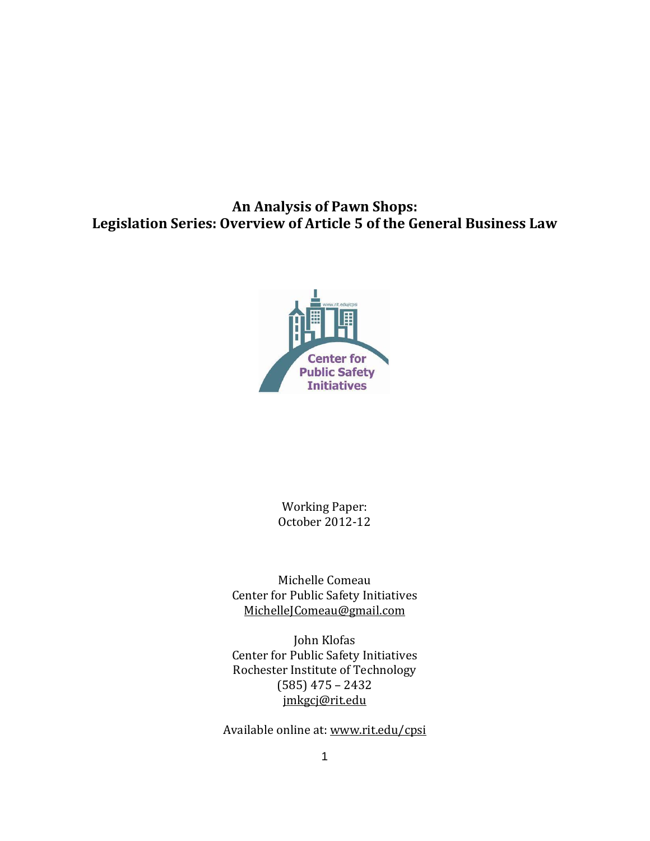**An Analysis of Pawn Shops: Legislation Series: Overview of Article 5 of the General Business Law**



Working Paper: October 2012-12

Michelle Comeau Center for Public Safety Initiatives [MichelleJComeau@gmail.com](mailto:MichelleJComeau@gmail.com)

John Klofas Center for Public Safety Initiatives Rochester Institute of Technology (585) 475 – 2432 [jmkgcj@rit.edu](mailto:jmkgcj@rit.edu)

Available online at: [www.rit.edu/cpsi](http://www.rit.edu/cpsi)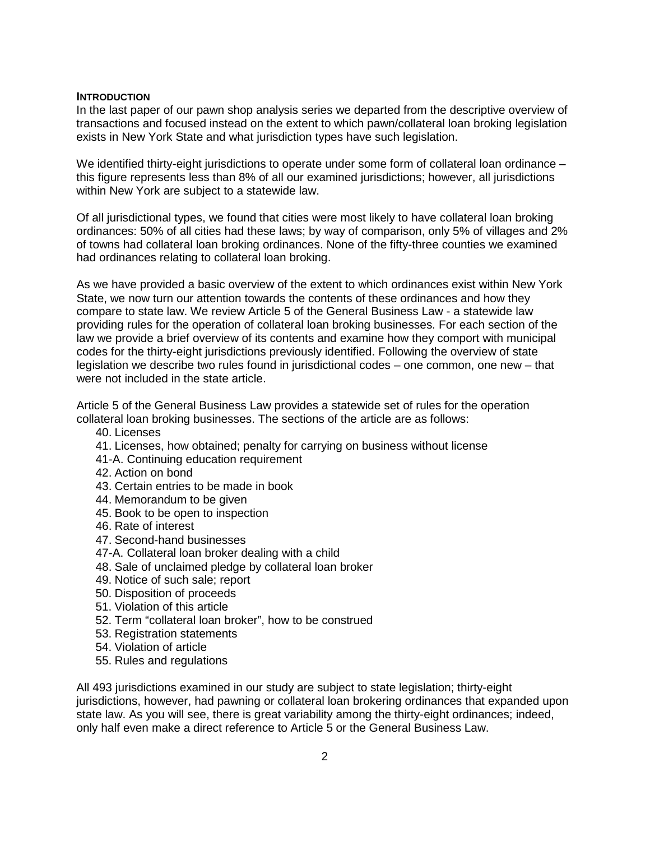#### **INTRODUCTION**

In the last paper of our pawn shop analysis series we departed from the descriptive overview of transactions and focused instead on the extent to which pawn/collateral loan broking legislation exists in New York State and what jurisdiction types have such legislation.

We identified thirty-eight jurisdictions to operate under some form of collateral loan ordinance – this figure represents less than 8% of all our examined jurisdictions; however, all jurisdictions within New York are subject to a statewide law.

Of all jurisdictional types, we found that cities were most likely to have collateral loan broking ordinances: 50% of all cities had these laws; by way of comparison, only 5% of villages and 2% of towns had collateral loan broking ordinances. None of the fifty-three counties we examined had ordinances relating to collateral loan broking.

As we have provided a basic overview of the extent to which ordinances exist within New York State, we now turn our attention towards the contents of these ordinances and how they compare to state law. We review Article 5 of the General Business Law - a statewide law providing rules for the operation of collateral loan broking businesses. For each section of the law we provide a brief overview of its contents and examine how they comport with municipal codes for the thirty-eight jurisdictions previously identified. Following the overview of state legislation we describe two rules found in jurisdictional codes – one common, one new – that were not included in the state article.

Article 5 of the General Business Law provides a statewide set of rules for the operation collateral loan broking businesses. The sections of the article are as follows:

- 40. Licenses
- 41. Licenses, how obtained; penalty for carrying on business without license
- 41-A. Continuing education requirement
- 42. Action on bond
- 43. Certain entries to be made in book
- 44. Memorandum to be given
- 45. Book to be open to inspection
- 46. Rate of interest
- 47. Second-hand businesses
- 47-A. Collateral loan broker dealing with a child
- 48. Sale of unclaimed pledge by collateral loan broker
- 49. Notice of such sale; report
- 50. Disposition of proceeds
- 51. Violation of this article
- 52. Term "collateral loan broker", how to be construed
- 53. Registration statements
- 54. Violation of article
- 55. Rules and regulations

All 493 jurisdictions examined in our study are subject to state legislation; thirty-eight jurisdictions, however, had pawning or collateral loan brokering ordinances that expanded upon state law. As you will see, there is great variability among the thirty-eight ordinances; indeed, only half even make a direct reference to Article 5 or the General Business Law.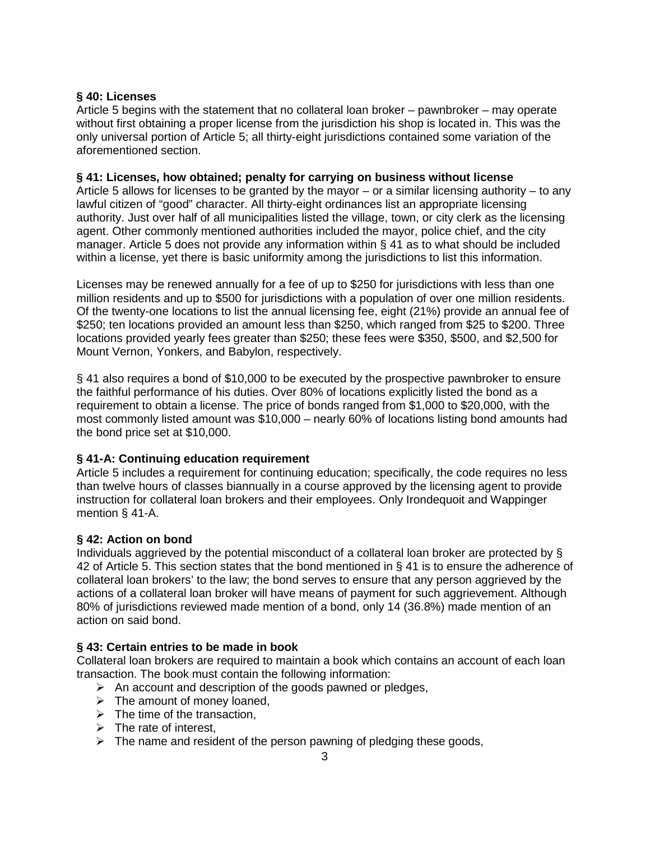# **§ 40: Licenses**

Article 5 begins with the statement that no collateral loan broker – pawnbroker – may operate without first obtaining a proper license from the jurisdiction his shop is located in. This was the only universal portion of Article 5; all thirty-eight jurisdictions contained some variation of the aforementioned section.

# **§ 41: Licenses, how obtained; penalty for carrying on business without license**

Article 5 allows for licenses to be granted by the mayor – or a similar licensing authority – to any lawful citizen of "good" character. All thirty-eight ordinances list an appropriate licensing authority. Just over half of all municipalities listed the village, town, or city clerk as the licensing agent. Other commonly mentioned authorities included the mayor, police chief, and the city manager. Article 5 does not provide any information within § 41 as to what should be included within a license, yet there is basic uniformity among the jurisdictions to list this information.

Licenses may be renewed annually for a fee of up to \$250 for jurisdictions with less than one million residents and up to \$500 for jurisdictions with a population of over one million residents. Of the twenty-one locations to list the annual licensing fee, eight (21%) provide an annual fee of \$250; ten locations provided an amount less than \$250, which ranged from \$25 to \$200. Three locations provided yearly fees greater than \$250; these fees were \$350, \$500, and \$2,500 for Mount Vernon, Yonkers, and Babylon, respectively.

§ 41 also requires a bond of \$10,000 to be executed by the prospective pawnbroker to ensure the faithful performance of his duties. Over 80% of locations explicitly listed the bond as a requirement to obtain a license. The price of bonds ranged from \$1,000 to \$20,000, with the most commonly listed amount was \$10,000 – nearly 60% of locations listing bond amounts had the bond price set at \$10,000.

# **§ 41-A: Continuing education requirement**

Article 5 includes a requirement for continuing education; specifically, the code requires no less than twelve hours of classes biannually in a course approved by the licensing agent to provide instruction for collateral loan brokers and their employees. Only Irondequoit and Wappinger mention § 41-A.

# **§ 42: Action on bond**

Individuals aggrieved by the potential misconduct of a collateral loan broker are protected by § 42 of Article 5. This section states that the bond mentioned in § 41 is to ensure the adherence of collateral loan brokers' to the law; the bond serves to ensure that any person aggrieved by the actions of a collateral loan broker will have means of payment for such aggrievement. Although 80% of jurisdictions reviewed made mention of a bond, only 14 (36.8%) made mention of an action on said bond.

# **§ 43: Certain entries to be made in book**

Collateral loan brokers are required to maintain a book which contains an account of each loan transaction. The book must contain the following information:

- $\triangleright$  An account and description of the goods pawned or pledges,
- $\triangleright$  The amount of money loaned,
- $\triangleright$  The time of the transaction.
- $\triangleright$  The rate of interest.
- $\triangleright$  The name and resident of the person pawning of pledging these goods,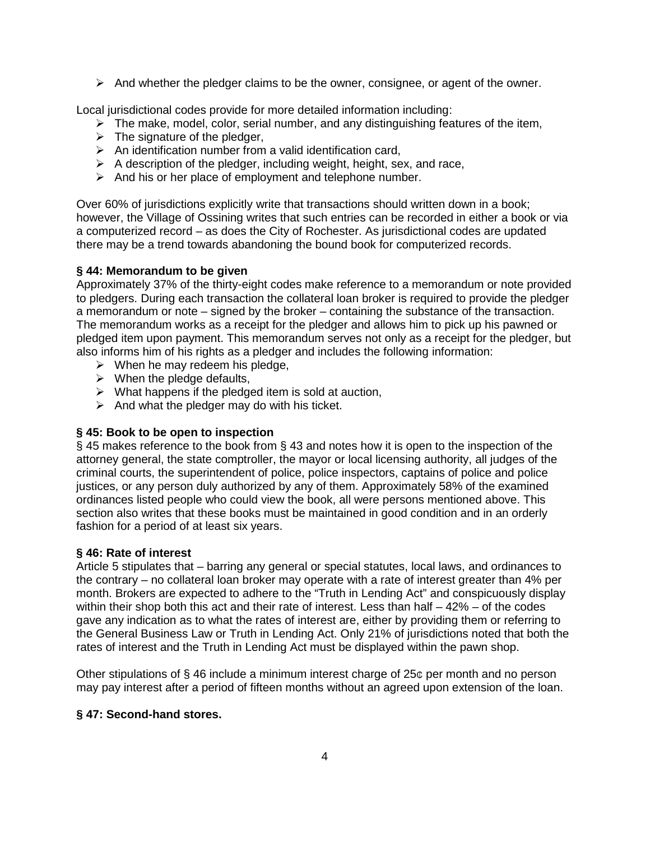$\triangleright$  And whether the pledger claims to be the owner, consignee, or agent of the owner.

Local jurisdictional codes provide for more detailed information including:

- $\triangleright$  The make, model, color, serial number, and any distinguishing features of the item,
- $\triangleright$  The signature of the pledger,
- $\triangleright$  An identification number from a valid identification card,
- $\triangleright$  A description of the pledger, including weight, height, sex, and race,
- $\triangleright$  And his or her place of employment and telephone number.

Over 60% of jurisdictions explicitly write that transactions should written down in a book; however, the Village of Ossining writes that such entries can be recorded in either a book or via a computerized record – as does the City of Rochester. As jurisdictional codes are updated there may be a trend towards abandoning the bound book for computerized records.

# **§ 44: Memorandum to be given**

Approximately 37% of the thirty-eight codes make reference to a memorandum or note provided to pledgers. During each transaction the collateral loan broker is required to provide the pledger a memorandum or note – signed by the broker – containing the substance of the transaction. The memorandum works as a receipt for the pledger and allows him to pick up his pawned or pledged item upon payment. This memorandum serves not only as a receipt for the pledger, but also informs him of his rights as a pledger and includes the following information:

- $\triangleright$  When he may redeem his pledge,
- $\triangleright$  When the pledge defaults,
- $\triangleright$  What happens if the pledged item is sold at auction,
- $\triangleright$  And what the pledger may do with his ticket.

# **§ 45: Book to be open to inspection**

§ 45 makes reference to the book from § 43 and notes how it is open to the inspection of the attorney general, the state comptroller, the mayor or local licensing authority, all judges of the criminal courts, the superintendent of police, police inspectors, captains of police and police justices, or any person duly authorized by any of them. Approximately 58% of the examined ordinances listed people who could view the book, all were persons mentioned above. This section also writes that these books must be maintained in good condition and in an orderly fashion for a period of at least six years.

### **§ 46: Rate of interest**

Article 5 stipulates that – barring any general or special statutes, local laws, and ordinances to the contrary – no collateral loan broker may operate with a rate of interest greater than 4% per month. Brokers are expected to adhere to the "Truth in Lending Act" and conspicuously display within their shop both this act and their rate of interest. Less than half  $-42\%$  – of the codes gave any indication as to what the rates of interest are, either by providing them or referring to the General Business Law or Truth in Lending Act. Only 21% of jurisdictions noted that both the rates of interest and the Truth in Lending Act must be displayed within the pawn shop.

Other stipulations of  $\S$  46 include a minimum interest charge of 25 $\sigma$  per month and no person may pay interest after a period of fifteen months without an agreed upon extension of the loan.

# **§ 47: Second-hand stores.**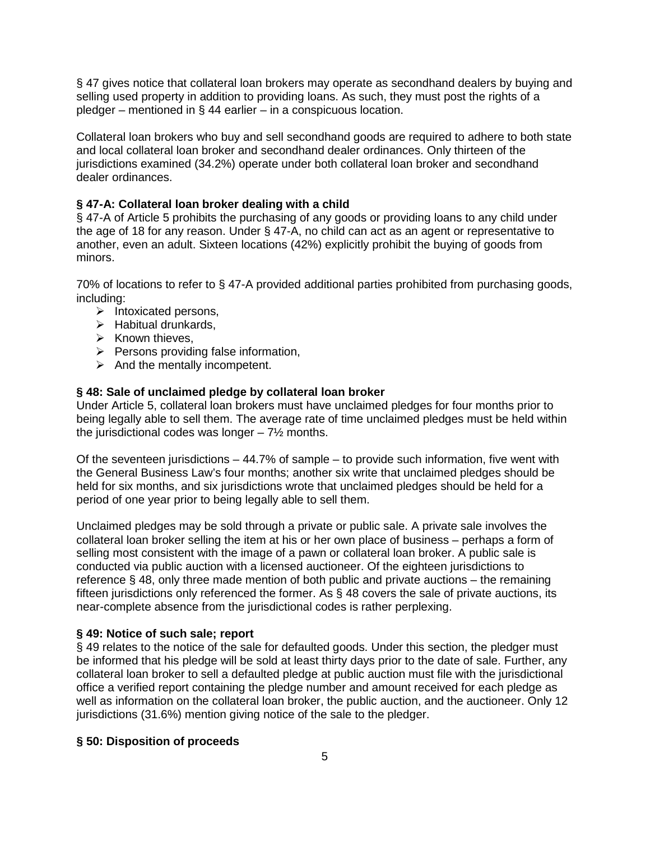§ 47 gives notice that collateral loan brokers may operate as secondhand dealers by buying and selling used property in addition to providing loans. As such, they must post the rights of a pledger – mentioned in § 44 earlier – in a conspicuous location.

Collateral loan brokers who buy and sell secondhand goods are required to adhere to both state and local collateral loan broker and secondhand dealer ordinances. Only thirteen of the jurisdictions examined (34.2%) operate under both collateral loan broker and secondhand dealer ordinances.

# **§ 47-A: Collateral loan broker dealing with a child**

§ 47-A of Article 5 prohibits the purchasing of any goods or providing loans to any child under the age of 18 for any reason. Under § 47-A, no child can act as an agent or representative to another, even an adult. Sixteen locations (42%) explicitly prohibit the buying of goods from minors.

70% of locations to refer to § 47-A provided additional parties prohibited from purchasing goods, including:

- $\triangleright$  Intoxicated persons,
- $\triangleright$  Habitual drunkards,
- $\triangleright$  Known thieves,
- $\triangleright$  Persons providing false information.
- $\triangleright$  And the mentally incompetent.

# **§ 48: Sale of unclaimed pledge by collateral loan broker**

Under Article 5, collateral loan brokers must have unclaimed pledges for four months prior to being legally able to sell them. The average rate of time unclaimed pledges must be held within the jurisdictional codes was longer  $-7\frac{1}{2}$  months.

Of the seventeen jurisdictions – 44.7% of sample – to provide such information, five went with the General Business Law's four months; another six write that unclaimed pledges should be held for six months, and six jurisdictions wrote that unclaimed pledges should be held for a period of one year prior to being legally able to sell them.

Unclaimed pledges may be sold through a private or public sale. A private sale involves the collateral loan broker selling the item at his or her own place of business – perhaps a form of selling most consistent with the image of a pawn or collateral loan broker. A public sale is conducted via public auction with a licensed auctioneer. Of the eighteen jurisdictions to reference § 48, only three made mention of both public and private auctions – the remaining fifteen jurisdictions only referenced the former. As § 48 covers the sale of private auctions, its near-complete absence from the jurisdictional codes is rather perplexing.

### **§ 49: Notice of such sale; report**

§ 49 relates to the notice of the sale for defaulted goods. Under this section, the pledger must be informed that his pledge will be sold at least thirty days prior to the date of sale. Further, any collateral loan broker to sell a defaulted pledge at public auction must file with the jurisdictional office a verified report containing the pledge number and amount received for each pledge as well as information on the collateral loan broker, the public auction, and the auctioneer. Only 12 jurisdictions (31.6%) mention giving notice of the sale to the pledger.

### **§ 50: Disposition of proceeds**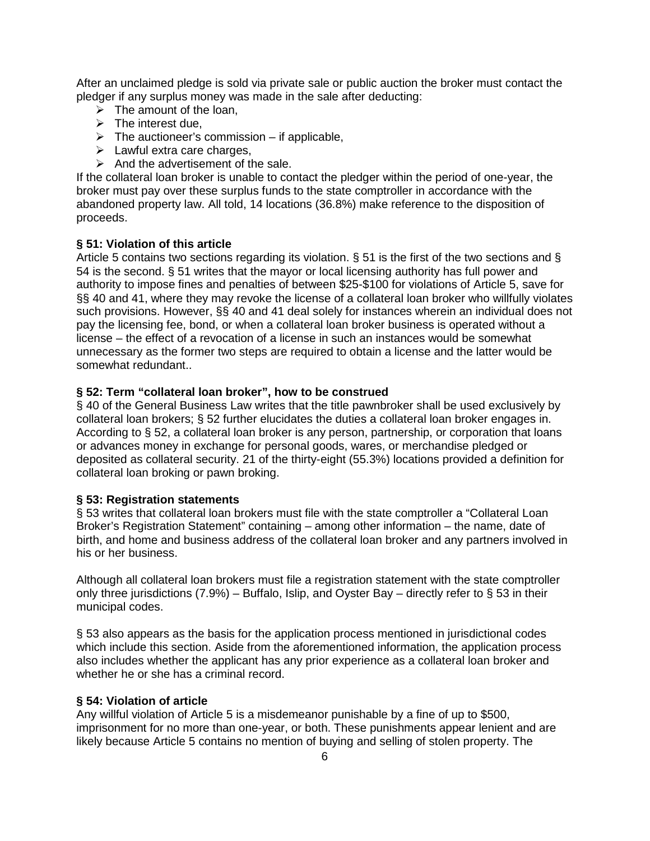After an unclaimed pledge is sold via private sale or public auction the broker must contact the pledger if any surplus money was made in the sale after deducting:

- $\triangleright$  The amount of the loan,
- $\triangleright$  The interest due,
- $\triangleright$  The auctioneer's commission if applicable,
- $\triangleright$  Lawful extra care charges,
- $\triangleright$  And the advertisement of the sale.

If the collateral loan broker is unable to contact the pledger within the period of one-year, the broker must pay over these surplus funds to the state comptroller in accordance with the abandoned property law. All told, 14 locations (36.8%) make reference to the disposition of proceeds.

### **§ 51: Violation of this article**

Article 5 contains two sections regarding its violation. § 51 is the first of the two sections and § 54 is the second. § 51 writes that the mayor or local licensing authority has full power and authority to impose fines and penalties of between \$25-\$100 for violations of Article 5, save for §§ 40 and 41, where they may revoke the license of a collateral loan broker who willfully violates such provisions. However, §§ 40 and 41 deal solely for instances wherein an individual does not pay the licensing fee, bond, or when a collateral loan broker business is operated without a license – the effect of a revocation of a license in such an instances would be somewhat unnecessary as the former two steps are required to obtain a license and the latter would be somewhat redundant..

#### **§ 52: Term "collateral loan broker", how to be construed**

§ 40 of the General Business Law writes that the title pawnbroker shall be used exclusively by collateral loan brokers; § 52 further elucidates the duties a collateral loan broker engages in. According to § 52, a collateral loan broker is any person, partnership, or corporation that loans or advances money in exchange for personal goods, wares, or merchandise pledged or deposited as collateral security. 21 of the thirty-eight (55.3%) locations provided a definition for collateral loan broking or pawn broking.

#### **§ 53: Registration statements**

§ 53 writes that collateral loan brokers must file with the state comptroller a "Collateral Loan Broker's Registration Statement" containing – among other information – the name, date of birth, and home and business address of the collateral loan broker and any partners involved in his or her business.

Although all collateral loan brokers must file a registration statement with the state comptroller only three jurisdictions (7.9%) – Buffalo, Islip, and Oyster Bay – directly refer to § 53 in their municipal codes.

§ 53 also appears as the basis for the application process mentioned in jurisdictional codes which include this section. Aside from the aforementioned information, the application process also includes whether the applicant has any prior experience as a collateral loan broker and whether he or she has a criminal record.

# **§ 54: Violation of article**

Any willful violation of Article 5 is a misdemeanor punishable by a fine of up to \$500, imprisonment for no more than one-year, or both. These punishments appear lenient and are likely because Article 5 contains no mention of buying and selling of stolen property. The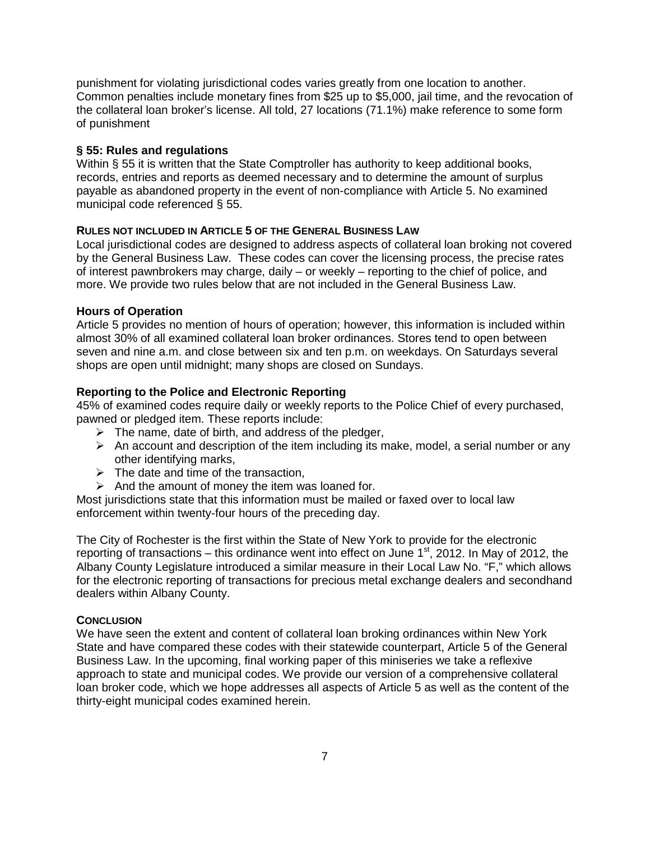punishment for violating jurisdictional codes varies greatly from one location to another. Common penalties include monetary fines from \$25 up to \$5,000, jail time, and the revocation of the collateral loan broker's license. All told, 27 locations (71.1%) make reference to some form of punishment

# **§ 55: Rules and regulations**

Within § 55 it is written that the State Comptroller has authority to keep additional books, records, entries and reports as deemed necessary and to determine the amount of surplus payable as abandoned property in the event of non-compliance with Article 5. No examined municipal code referenced § 55.

# **RULES NOT INCLUDED IN ARTICLE 5 OF THE GENERAL BUSINESS LAW**

Local jurisdictional codes are designed to address aspects of collateral loan broking not covered by the General Business Law. These codes can cover the licensing process, the precise rates of interest pawnbrokers may charge, daily – or weekly – reporting to the chief of police, and more. We provide two rules below that are not included in the General Business Law.

### **Hours of Operation**

Article 5 provides no mention of hours of operation; however, this information is included within almost 30% of all examined collateral loan broker ordinances. Stores tend to open between seven and nine a.m. and close between six and ten p.m. on weekdays. On Saturdays several shops are open until midnight; many shops are closed on Sundays.

# **Reporting to the Police and Electronic Reporting**

45% of examined codes require daily or weekly reports to the Police Chief of every purchased, pawned or pledged item. These reports include:

- $\triangleright$  The name, date of birth, and address of the pledger,
- $\triangleright$  An account and description of the item including its make, model, a serial number or any other identifying marks,
- $\triangleright$  The date and time of the transaction,
- $\triangleright$  And the amount of money the item was loaned for.

Most iurisdictions state that this information must be mailed or faxed over to local law enforcement within twenty-four hours of the preceding day.

The City of Rochester is the first within the State of New York to provide for the electronic reporting of transactions – this ordinance went into effect on June  $1<sup>st</sup>$ , 2012. In May of 2012, the Albany County Legislature introduced a similar measure in their Local Law No. "F," which allows for the electronic reporting of transactions for precious metal exchange dealers and secondhand dealers within Albany County.

### **CONCLUSION**

We have seen the extent and content of collateral loan broking ordinances within New York State and have compared these codes with their statewide counterpart, Article 5 of the General Business Law. In the upcoming, final working paper of this miniseries we take a reflexive approach to state and municipal codes. We provide our version of a comprehensive collateral loan broker code, which we hope addresses all aspects of Article 5 as well as the content of the thirty-eight municipal codes examined herein.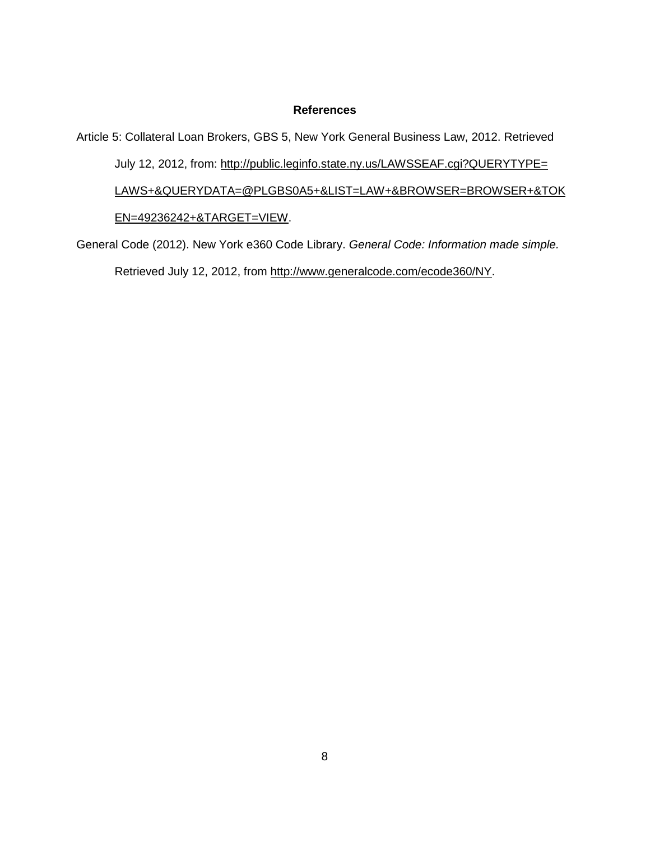#### **References**

Article 5: Collateral Loan Brokers, GBS 5, New York General Business Law, 2012. Retrieved July 12, 2012, from: [http://public.leginfo.state.ny.us/LAWSSEAF.cgi?QUERYTYPE=](http://public.leginfo.state.ny.us/LAWSSEAF.cgi?QUERYTYPE=%09LAWS+&QUERYDATA=@PLGBS0A5+&LIST=LAW+&BROWSER=BROWSER+&TOK%09EN=49236242+&TARGET=VIEW) [LAWS+&QUERYDATA=@PLGBS0A5+&LIST=LAW+&BROWSER=BROWSER+&TOK](http://public.leginfo.state.ny.us/LAWSSEAF.cgi?QUERYTYPE=%09LAWS+&QUERYDATA=@PLGBS0A5+&LIST=LAW+&BROWSER=BROWSER+&TOK%09EN=49236242+&TARGET=VIEW) [EN=49236242+&TARGET=VIEW.](http://public.leginfo.state.ny.us/LAWSSEAF.cgi?QUERYTYPE=%09LAWS+&QUERYDATA=@PLGBS0A5+&LIST=LAW+&BROWSER=BROWSER+&TOK%09EN=49236242+&TARGET=VIEW)

General Code (2012). New York e360 Code Library. *General Code: Information made simple.*  Retrieved July 12, 2012, from [http://www.generalcode.com/ecode360/NY.](http://www.generalcode.com/ecode360/NY)